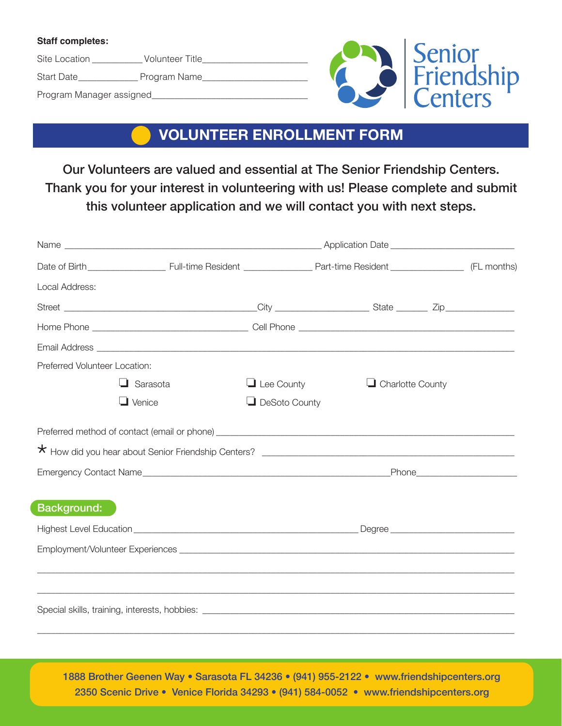## **Staff completes:**

Site Location \_\_\_\_\_\_\_\_\_\_\_\_\_ Volunteer Title\_\_\_\_\_\_\_

Start Date\_\_\_\_\_\_\_\_\_\_\_\_\_\_\_\_ Program Name\_\_\_\_\_\_\_

Program Manager assigned\_\_\_\_\_\_\_\_\_\_\_\_\_\_\_\_\_\_\_\_\_\_\_\_\_\_\_\_\_\_\_\_\_\_



## **VOLUNTEER ENROLLMENT FORM**

Our Volunteers are valued and essential at The Senior Friendship Centers. Thank you for your interest in volunteering with us! Please complete and submit this volunteer application and we will contact you with next steps.

| Local Address:                |                 |                   |                         |  |  |  |  |  |
|-------------------------------|-----------------|-------------------|-------------------------|--|--|--|--|--|
|                               |                 |                   |                         |  |  |  |  |  |
|                               |                 |                   |                         |  |  |  |  |  |
|                               |                 |                   |                         |  |  |  |  |  |
| Preferred Volunteer Location: |                 |                   |                         |  |  |  |  |  |
|                               | $\Box$ Sarasota | $\Box$ Lee County | $\Box$ Charlotte County |  |  |  |  |  |
|                               | $\Box$ Venice   | DeSoto County     |                         |  |  |  |  |  |
|                               |                 |                   |                         |  |  |  |  |  |
|                               |                 |                   |                         |  |  |  |  |  |
|                               |                 |                   |                         |  |  |  |  |  |
| <b>Background:</b>            |                 |                   |                         |  |  |  |  |  |
|                               |                 |                   |                         |  |  |  |  |  |
|                               |                 |                   |                         |  |  |  |  |  |
|                               |                 |                   |                         |  |  |  |  |  |
|                               |                 |                   |                         |  |  |  |  |  |
|                               |                 |                   |                         |  |  |  |  |  |

2350 Scenic Drive • Venice Florida 34293 • (941) 584-0052 • www.friendshipcenters.org 1888 Brother Geenen Way • Sarasota FL 34236 • (941) 955-2122 • www.friendshipcenters.org